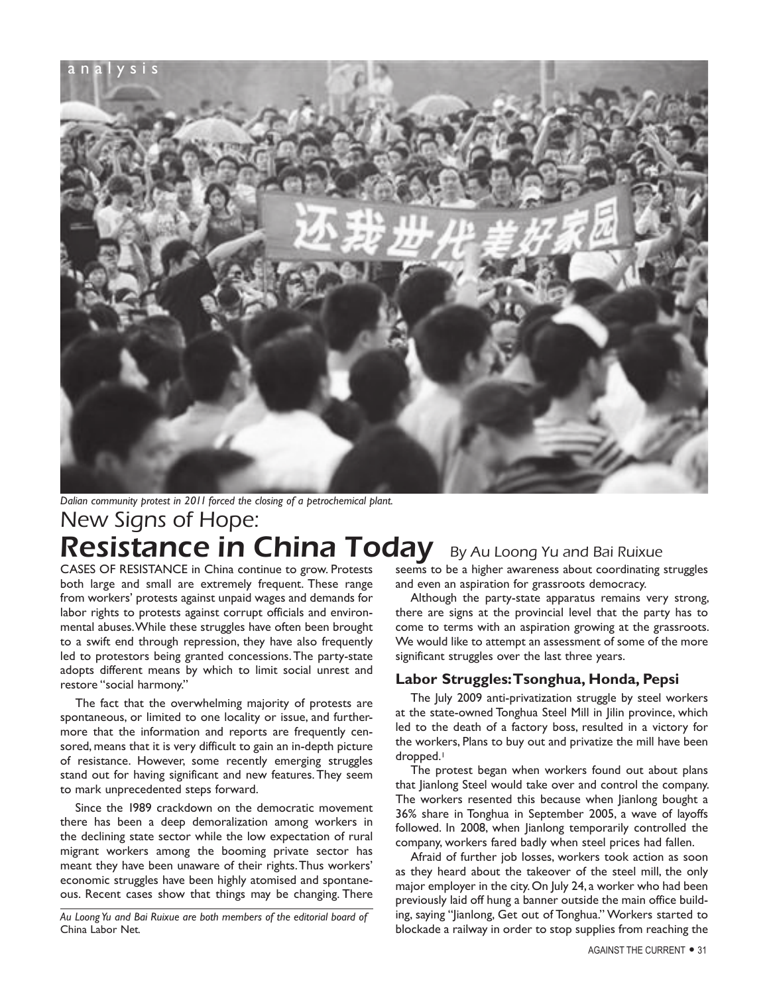

New Signs of Hope: Resistance in China Today By Au Loong Yu and Bai Ruixue *Dalian community protest in 2011 forced the closing of a petrochemical plant.*

CASES OF RESISTANCE in China continue to grow. Protests both large and small are extremely frequent. These range from workers' protests against unpaid wages and demands for labor rights to protests against corrupt officials and environmental abuses. While these struggles have often been brought to a swift end through repression, they have also frequently led to protestors being granted concessions. The party-state adopts different means by which to limit social unrest and restore "social harmony."

The fact that the overwhelming majority of protests are spontaneous, or limited to one locality or issue, and furthermore that the information and reports are frequently censored, means that it is very difficult to gain an in-depth picture of resistance. However, some recently emerging struggles stand out for having significant and new features. They seem to mark unprecedented steps forward.

Since the 1989 crackdown on the democratic movement there has been a deep demoralization among workers in the declining state sector while the low expectation of rural migrant workers among the booming private sector has meant they have been unaware of their rights. Thus workers' economic struggles have been highly atomised and spontaneous. Recent cases show that things may be changing. There

*Au Loong Yu and Bai Ruixue are both members of the editorial board of*  China Labor Net*.*

seems to be a higher awareness about coordinating struggles and even an aspiration for grassroots democracy.

Although the party-state apparatus remains very strong, there are signs at the provincial level that the party has to come to terms with an aspiration growing at the grassroots. We would like to attempt an assessment of some of the more significant struggles over the last three years.

## **Labor Struggles: Tsonghua, Honda, Pepsi**

The July 2009 anti-privatization struggle by steel workers at the state-owned Tonghua Steel Mill in Jilin province, which led to the death of a factory boss, resulted in a victory for the workers, Plans to buy out and privatize the mill have been dropped.<sup>1</sup>

The protest began when workers found out about plans that Jianlong Steel would take over and control the company. The workers resented this because when Jianlong bought a 36% share in Tonghua in September 2005, a wave of layoffs followed. In 2008, when Jianlong temporarily controlled the company, workers fared badly when steel prices had fallen.

Afraid of further job losses, workers took action as soon as they heard about the takeover of the steel mill, the only major employer in the city. On July 24, a worker who had been previously laid off hung a banner outside the main office building, saying "Jianlong, Get out of Tonghua." Workers started to blockade a railway in order to stop supplies from reaching the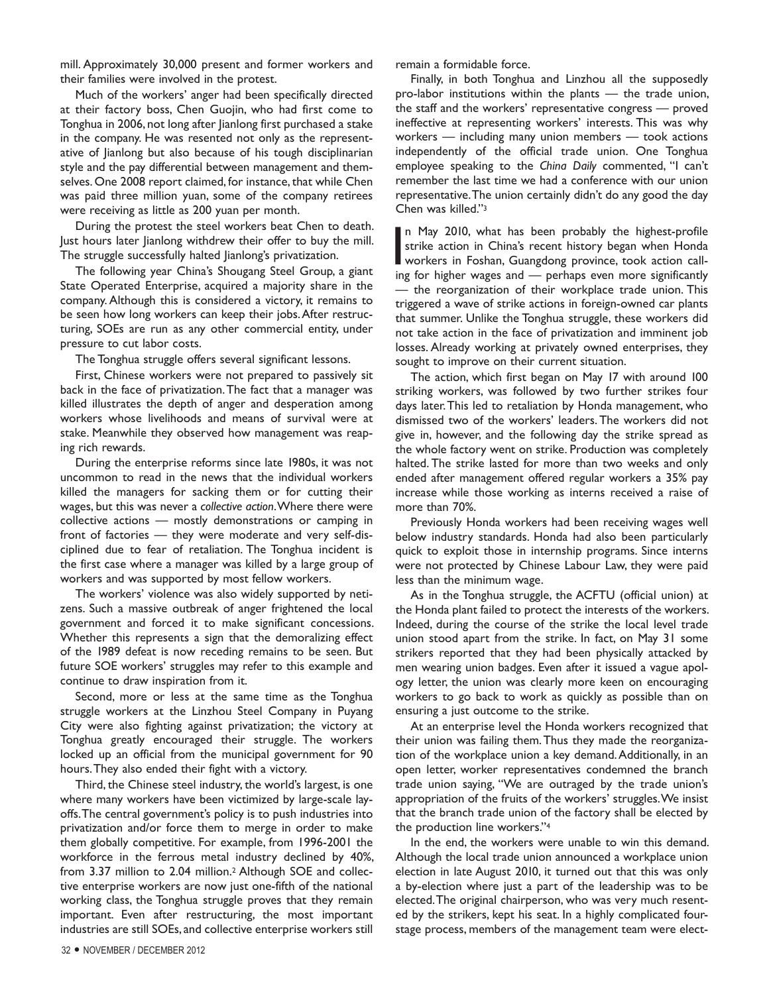mill. Approximately 30,000 present and former workers and their families were involved in the protest.

Much of the workers' anger had been specifically directed at their factory boss, Chen Guojin, who had first come to Tonghua in 2006, not long after Jianlong first purchased a stake in the company. He was resented not only as the representative of Jianlong but also because of his tough disciplinarian style and the pay differential between management and themselves. One 2008 report claimed, for instance, that while Chen was paid three million yuan, some of the company retirees were receiving as little as 200 yuan per month.

During the protest the steel workers beat Chen to death. Just hours later Jianlong withdrew their offer to buy the mill. The struggle successfully halted Jianlong's privatization.

The following year China's Shougang Steel Group, a giant State Operated Enterprise, acquired a majority share in the company. Although this is considered a victory, it remains to be seen how long workers can keep their jobs. After restructuring, SOEs are run as any other commercial entity, under pressure to cut labor costs.

The Tonghua struggle offers several significant lessons.

First, Chinese workers were not prepared to passively sit back in the face of privatization. The fact that a manager was killed illustrates the depth of anger and desperation among workers whose livelihoods and means of survival were at stake. Meanwhile they observed how management was reaping rich rewards.

During the enterprise reforms since late 1980s, it was not uncommon to read in the news that the individual workers killed the managers for sacking them or for cutting their wages, but this was never a *collective action*. Where there were collective actions — mostly demonstrations or camping in front of factories — they were moderate and very self-disciplined due to fear of retaliation. The Tonghua incident is the first case where a manager was killed by a large group of workers and was supported by most fellow workers.

The workers' violence was also widely supported by netizens. Such a massive outbreak of anger frightened the local government and forced it to make significant concessions. Whether this represents a sign that the demoralizing effect of the 1989 defeat is now receding remains to be seen. But future SOE workers' struggles may refer to this example and continue to draw inspiration from it.

Second, more or less at the same time as the Tonghua struggle workers at the Linzhou Steel Company in Puyang City were also fighting against privatization; the victory at Tonghua greatly encouraged their struggle. The workers locked up an official from the municipal government for 90 hours. They also ended their fight with a victory.

Third, the Chinese steel industry, the world's largest, is one where many workers have been victimized by large-scale layoffs. The central government's policy is to push industries into privatization and/or force them to merge in order to make them globally competitive. For example, from 1996-2001 the workforce in the ferrous metal industry declined by 40%, from 3.37 million to 2.04 million.2 Although SOE and collective enterprise workers are now just one-fifth of the national working class, the Tonghua struggle proves that they remain important. Even after restructuring, the most important industries are still SOEs, and collective enterprise workers still

remain a formidable force.

Finally, in both Tonghua and Linzhou all the supposedly pro-labor institutions within the plants — the trade union, the staff and the workers' representative congress — proved ineffective at representing workers' interests. This was why workers — including many union members — took actions independently of the official trade union. One Tonghua employee speaking to the *China Daily* commented, "I can't remember the last time we had a conference with our union representative. The union certainly didn't do any good the day Chen was killed."3

In May 2010, what has been probably the highest-profile<br>strike action in China's recent history began when Honda<br>workers in Foshan, Guangdong province, took action call-<br>ing for higher wages and — perhans even more signifi n May 2010, what has been probably the highest-profile strike action in China's recent history began when Honda ing for higher wages and — perhaps even more significantly — the reorganization of their workplace trade union. This triggered a wave of strike actions in foreign-owned car plants that summer. Unlike the Tonghua struggle, these workers did not take action in the face of privatization and imminent job losses. Already working at privately owned enterprises, they sought to improve on their current situation.

The action, which first began on May 17 with around 100 striking workers, was followed by two further strikes four days later. This led to retaliation by Honda management, who dismissed two of the workers' leaders. The workers did not give in, however, and the following day the strike spread as the whole factory went on strike. Production was completely halted. The strike lasted for more than two weeks and only ended after management offered regular workers a 35% pay increase while those working as interns received a raise of more than 70%.

Previously Honda workers had been receiving wages well below industry standards. Honda had also been particularly quick to exploit those in internship programs. Since interns were not protected by Chinese Labour Law, they were paid less than the minimum wage.

As in the Tonghua struggle, the ACFTU (official union) at the Honda plant failed to protect the interests of the workers. Indeed, during the course of the strike the local level trade union stood apart from the strike. In fact, on May 31 some strikers reported that they had been physically attacked by men wearing union badges. Even after it issued a vague apology letter, the union was clearly more keen on encouraging workers to go back to work as quickly as possible than on ensuring a just outcome to the strike.

At an enterprise level the Honda workers recognized that their union was failing them. Thus they made the reorganization of the workplace union a key demand. Additionally, in an open letter, worker representatives condemned the branch trade union saying, "We are outraged by the trade union's appropriation of the fruits of the workers' struggles. We insist that the branch trade union of the factory shall be elected by the production line workers."4

In the end, the workers were unable to win this demand. Although the local trade union announced a workplace union election in late August 2010, it turned out that this was only a by-election where just a part of the leadership was to be elected. The original chairperson, who was very much resented by the strikers, kept his seat. In a highly complicated fourstage process, members of the management team were elect-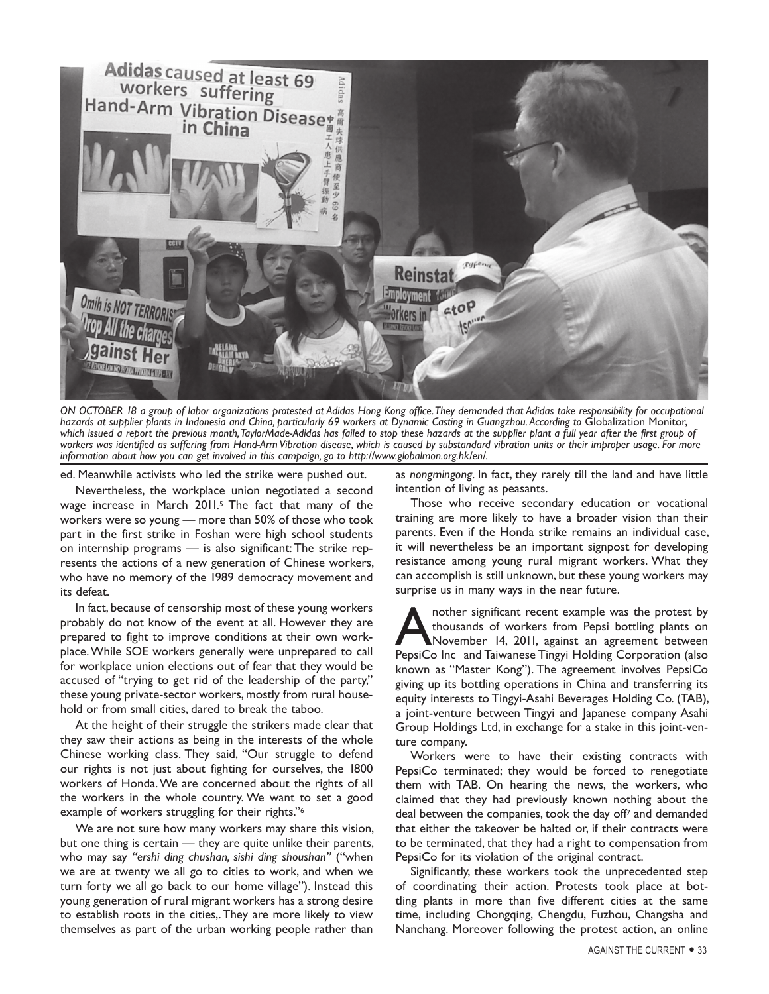

*ON OCTOBER 18 a group of labor organizations protested at Adidas Hong Kong office. They demanded that Adidas take responsibility for occupational*  hazards at supplier plants in Indonesia and China, particularly 69 workers at Dynamic Casting in Guangzhou. According to Globalization Monitor, *which issued a report the previous month, TaylorMade-Adidas has failed to stop these hazards at the supplier plant a full year after the first group of*  workers was identified as suffering from Hand-Arm Vibration disease, which is caused by substandard vibration units or their improper usage. For more *information about how you can get involved in this campaign, go to http://www.globalmon.org.hk/en/.*

ed. Meanwhile activists who led the strike were pushed out.

Nevertheless, the workplace union negotiated a second wage increase in March 2011.5 The fact that many of the workers were so young — more than 50% of those who took part in the first strike in Foshan were high school students on internship programs — is also significant: The strike represents the actions of a new generation of Chinese workers, who have no memory of the 1989 democracy movement and its defeat.

In fact, because of censorship most of these young workers probably do not know of the event at all. However they are prepared to fight to improve conditions at their own workplace. While SOE workers generally were unprepared to call for workplace union elections out of fear that they would be accused of "trying to get rid of the leadership of the party," these young private-sector workers, mostly from rural household or from small cities, dared to break the taboo.

At the height of their struggle the strikers made clear that they saw their actions as being in the interests of the whole Chinese working class. They said, "Our struggle to defend our rights is not just about fighting for ourselves, the 1800 workers of Honda. We are concerned about the rights of all the workers in the whole country. We want to set a good example of workers struggling for their rights."6

We are not sure how many workers may share this vision, but one thing is certain — they are quite unlike their parents, who may say *"ershi ding chushan, sishi ding shoushan"* ("when we are at twenty we all go to cities to work, and when we turn forty we all go back to our home village"). Instead this young generation of rural migrant workers has a strong desire to establish roots in the cities,. They are more likely to view themselves as part of the urban working people rather than

as *nongmingong*. In fact, they rarely till the land and have little intention of living as peasants.

Those who receive secondary education or vocational training are more likely to have a broader vision than their parents. Even if the Honda strike remains an individual case, it will nevertheless be an important signpost for developing resistance among young rural migrant workers. What they can accomplish is still unknown, but these young workers may surprise us in many ways in the near future.

nother significant recent example was the protest by thousands of workers from Pepsi bottling plants on November 14, 2011, against an agreement between PepsiCo Inc and Taiwanese Tingyi Holding Corporation (also known as "Master Kong"). The agreement involves PepsiCo giving up its bottling operations in China and transferring its equity interests to Tingyi-Asahi Beverages Holding Co. (TAB), a joint-venture between Tingyi and Japanese company Asahi Group Holdings Ltd, in exchange for a stake in this joint-venture company.

Workers were to have their existing contracts with PepsiCo terminated; they would be forced to renegotiate them with TAB. On hearing the news, the workers, who claimed that they had previously known nothing about the deal between the companies, took the day off7 and demanded that either the takeover be halted or, if their contracts were to be terminated, that they had a right to compensation from PepsiCo for its violation of the original contract.

Significantly, these workers took the unprecedented step of coordinating their action. Protests took place at bottling plants in more than five different cities at the same time, including Chongqing, Chengdu, Fuzhou, Changsha and Nanchang. Moreover following the protest action, an online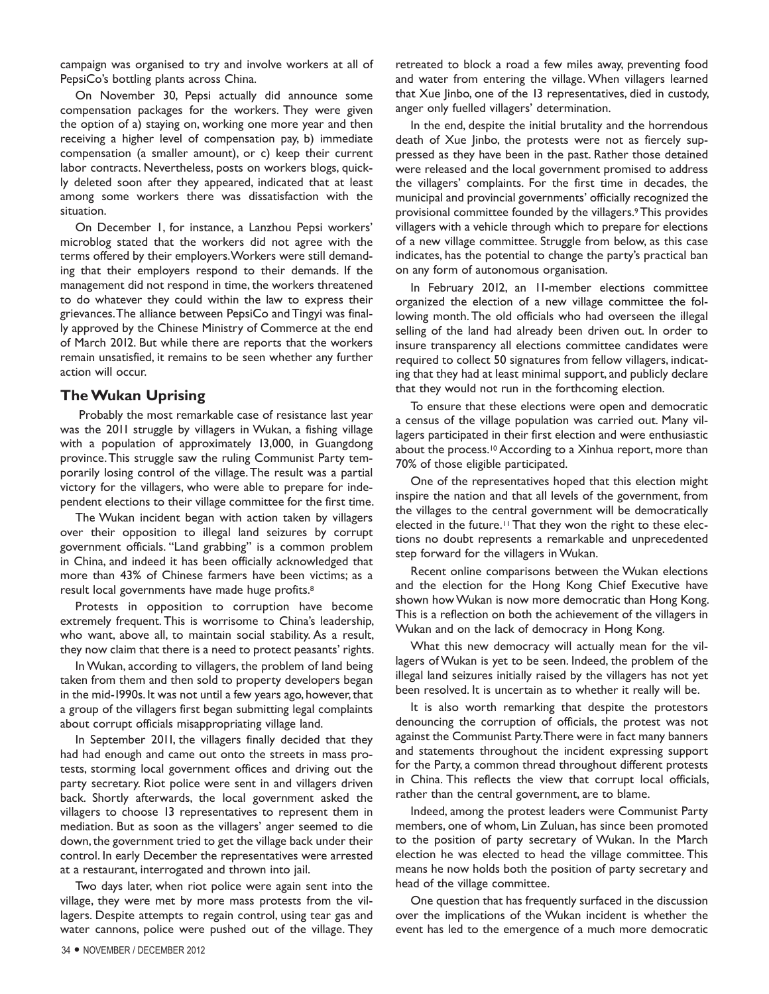campaign was organised to try and involve workers at all of PepsiCo's bottling plants across China.

On November 30, Pepsi actually did announce some compensation packages for the workers. They were given the option of a) staying on, working one more year and then receiving a higher level of compensation pay, b) immediate compensation (a smaller amount), or c) keep their current labor contracts. Nevertheless, posts on workers blogs, quickly deleted soon after they appeared, indicated that at least among some workers there was dissatisfaction with the situation.

On December 1, for instance, a Lanzhou Pepsi workers' microblog stated that the workers did not agree with the terms offered by their employers. Workers were still demanding that their employers respond to their demands. If the management did not respond in time, the workers threatened to do whatever they could within the law to express their grievances. The alliance between PepsiCo and Tingyi was finally approved by the Chinese Ministry of Commerce at the end of March 2012. But while there are reports that the workers remain unsatisfied, it remains to be seen whether any further action will occur.

## **The Wukan Uprising**

 Probably the most remarkable case of resistance last year was the 2011 struggle by villagers in Wukan, a fishing village with a population of approximately 13,000, in Guangdong province. This struggle saw the ruling Communist Party temporarily losing control of the village. The result was a partial victory for the villagers, who were able to prepare for independent elections to their village committee for the first time.

The Wukan incident began with action taken by villagers over their opposition to illegal land seizures by corrupt government officials. "Land grabbing" is a common problem in China, and indeed it has been officially acknowledged that more than 43% of Chinese farmers have been victims; as a result local governments have made huge profits.8

Protests in opposition to corruption have become extremely frequent. This is worrisome to China's leadership, who want, above all, to maintain social stability. As a result, they now claim that there is a need to protect peasants' rights.

In Wukan, according to villagers, the problem of land being taken from them and then sold to property developers began in the mid-1990s. It was not until a few years ago, however, that a group of the villagers first began submitting legal complaints about corrupt officials misappropriating village land.

In September 2011, the villagers finally decided that they had had enough and came out onto the streets in mass protests, storming local government offices and driving out the party secretary. Riot police were sent in and villagers driven back. Shortly afterwards, the local government asked the villagers to choose 13 representatives to represent them in mediation. But as soon as the villagers' anger seemed to die down, the government tried to get the village back under their control. In early December the representatives were arrested at a restaurant, interrogated and thrown into jail.

Two days later, when riot police were again sent into the village, they were met by more mass protests from the villagers. Despite attempts to regain control, using tear gas and water cannons, police were pushed out of the village. They retreated to block a road a few miles away, preventing food and water from entering the village. When villagers learned that Xue Jinbo, one of the 13 representatives, died in custody, anger only fuelled villagers' determination.

In the end, despite the initial brutality and the horrendous death of Xue Jinbo, the protests were not as fiercely suppressed as they have been in the past. Rather those detained were released and the local government promised to address the villagers' complaints. For the first time in decades, the municipal and provincial governments' officially recognized the provisional committee founded by the villagers.9 This provides villagers with a vehicle through which to prepare for elections of a new village committee. Struggle from below, as this case indicates, has the potential to change the party's practical ban on any form of autonomous organisation.

In February 2012, an 11-member elections committee organized the election of a new village committee the following month. The old officials who had overseen the illegal selling of the land had already been driven out. In order to insure transparency all elections committee candidates were required to collect 50 signatures from fellow villagers, indicating that they had at least minimal support, and publicly declare that they would not run in the forthcoming election.

To ensure that these elections were open and democratic a census of the village population was carried out. Many villagers participated in their first election and were enthusiastic about the process.<sup>10</sup> According to a Xinhua report, more than 70% of those eligible participated.

One of the representatives hoped that this election might inspire the nation and that all levels of the government, from the villages to the central government will be democratically elected in the future.<sup>11</sup> That they won the right to these elections no doubt represents a remarkable and unprecedented step forward for the villagers in Wukan.

Recent online comparisons between the Wukan elections and the election for the Hong Kong Chief Executive have shown how Wukan is now more democratic than Hong Kong. This is a reflection on both the achievement of the villagers in Wukan and on the lack of democracy in Hong Kong.

What this new democracy will actually mean for the villagers of Wukan is yet to be seen. Indeed, the problem of the illegal land seizures initially raised by the villagers has not yet been resolved. It is uncertain as to whether it really will be.

It is also worth remarking that despite the protestors denouncing the corruption of officials, the protest was not against the Communist Party. There were in fact many banners and statements throughout the incident expressing support for the Party, a common thread throughout different protests in China. This reflects the view that corrupt local officials, rather than the central government, are to blame.

Indeed, among the protest leaders were Communist Party members, one of whom, Lin Zuluan, has since been promoted to the position of party secretary of Wukan. In the March election he was elected to head the village committee. This means he now holds both the position of party secretary and head of the village committee.

One question that has frequently surfaced in the discussion over the implications of the Wukan incident is whether the event has led to the emergence of a much more democratic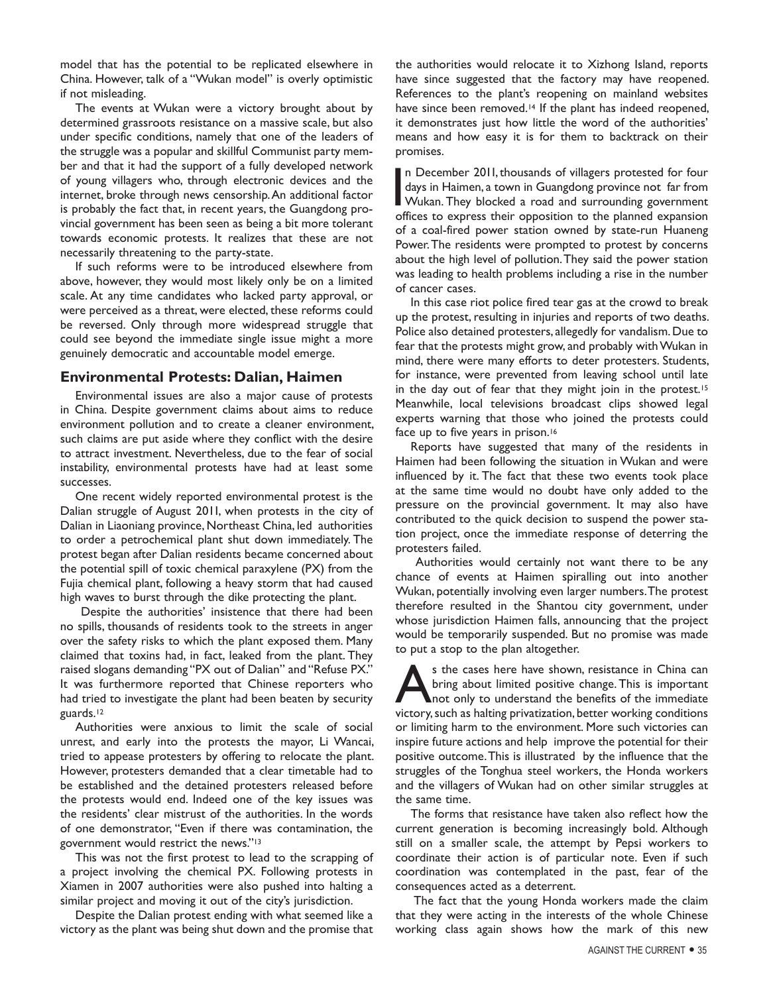model that has the potential to be replicated elsewhere in China. However, talk of a "Wukan model" is overly optimistic if not misleading.

The events at Wukan were a victory brought about by determined grassroots resistance on a massive scale, but also under specific conditions, namely that one of the leaders of the struggle was a popular and skillful Communist party member and that it had the support of a fully developed network of young villagers who, through electronic devices and the internet, broke through news censorship. An additional factor is probably the fact that, in recent years, the Guangdong provincial government has been seen as being a bit more tolerant towards economic protests. It realizes that these are not necessarily threatening to the party-state.

If such reforms were to be introduced elsewhere from above, however, they would most likely only be on a limited scale. At any time candidates who lacked party approval, or were perceived as a threat, were elected, these reforms could be reversed. Only through more widespread struggle that could see beyond the immediate single issue might a more genuinely democratic and accountable model emerge.

## **Environmental Protests: Dalian, Haimen**

Environmental issues are also a major cause of protests in China. Despite government claims about aims to reduce environment pollution and to create a cleaner environment, such claims are put aside where they conflict with the desire to attract investment. Nevertheless, due to the fear of social instability, environmental protests have had at least some successes.

One recent widely reported environmental protest is the Dalian struggle of August 2011, when protests in the city of Dalian in Liaoniang province, Northeast China, led authorities to order a petrochemical plant shut down immediately. The protest began after Dalian residents became concerned about the potential spill of toxic chemical paraxylene (PX) from the Fujia chemical plant, following a heavy storm that had caused high waves to burst through the dike protecting the plant.

 Despite the authorities' insistence that there had been no spills, thousands of residents took to the streets in anger over the safety risks to which the plant exposed them. Many claimed that toxins had, in fact, leaked from the plant. They raised slogans demanding "PX out of Dalian" and "Refuse PX." It was furthermore reported that Chinese reporters who had tried to investigate the plant had been beaten by security guards.<sup>12</sup>

Authorities were anxious to limit the scale of social unrest, and early into the protests the mayor, Li Wancai, tried to appease protesters by offering to relocate the plant. However, protesters demanded that a clear timetable had to be established and the detained protesters released before the protests would end. Indeed one of the key issues was the residents' clear mistrust of the authorities. In the words of one demonstrator, "Even if there was contamination, the government would restrict the news."13

This was not the first protest to lead to the scrapping of a project involving the chemical PX. Following protests in Xiamen in 2007 authorities were also pushed into halting a similar project and moving it out of the city's jurisdiction.

Despite the Dalian protest ending with what seemed like a victory as the plant was being shut down and the promise that the authorities would relocate it to Xizhong Island, reports have since suggested that the factory may have reopened. References to the plant's reopening on mainland websites have since been removed.<sup>14</sup> If the plant has indeed reopened, it demonstrates just how little the word of the authorities' means and how easy it is for them to backtrack on their promises.

In December 2011, thousands of villagers protested for four days in Haimen, a town in Guangdong province not far from Wukan. They blocked a road and surrounding government offices to express their opposition to the planned n December 2011, thousands of villagers protested for four days in Haimen, a town in Guangdong province not far from offices to express their opposition to the planned expansion of a coal-fired power station owned by state-run Huaneng Power. The residents were prompted to protest by concerns about the high level of pollution. They said the power station was leading to health problems including a rise in the number of cancer cases.

In this case riot police fired tear gas at the crowd to break up the protest, resulting in injuries and reports of two deaths. Police also detained protesters, allegedly for vandalism. Due to fear that the protests might grow, and probably with Wukan in mind, there were many efforts to deter protesters. Students, for instance, were prevented from leaving school until late in the day out of fear that they might join in the protest.<sup>15</sup> Meanwhile, local televisions broadcast clips showed legal experts warning that those who joined the protests could face up to five years in prison.<sup>16</sup>

Reports have suggested that many of the residents in Haimen had been following the situation in Wukan and were influenced by it. The fact that these two events took place at the same time would no doubt have only added to the pressure on the provincial government. It may also have contributed to the quick decision to suspend the power station project, once the immediate response of deterring the protesters failed.

Authorities would certainly not want there to be any chance of events at Haimen spiralling out into another Wukan, potentially involving even larger numbers.The protest therefore resulted in the Shantou city government, under whose jurisdiction Haimen falls, announcing that the project would be temporarily suspended. But no promise was made to put a stop to the plan altogether.

s the cases here have shown, resistance in China can bring about limited positive change. This is important not only to understand the benefits of the immediate victory, such as halting privatization, better working conditions or limiting harm to the environment. More such victories can inspire future actions and help improve the potential for their positive outcome. This is illustrated by the influence that the struggles of the Tonghua steel workers, the Honda workers and the villagers of Wukan had on other similar struggles at the same time.

The forms that resistance have taken also reflect how the current generation is becoming increasingly bold. Although still on a smaller scale, the attempt by Pepsi workers to coordinate their action is of particular note. Even if such coordination was contemplated in the past, fear of the consequences acted as a deterrent.

 The fact that the young Honda workers made the claim that they were acting in the interests of the whole Chinese working class again shows how the mark of this new